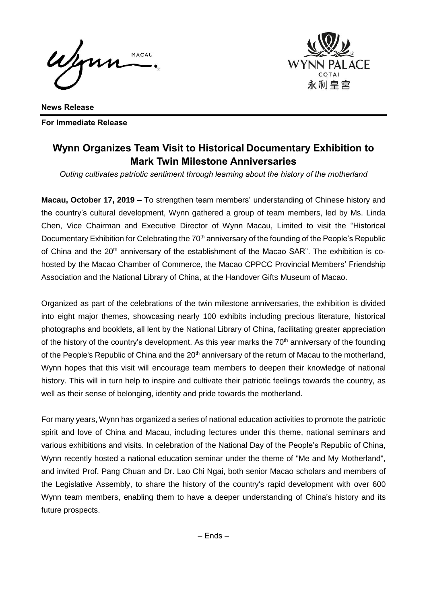Wenn MACAU



**News Release For Immediate Release**

## **Wynn Organizes Team Visit to Historical Documentary Exhibition to Mark Twin Milestone Anniversaries**

*Outing cultivates patriotic sentiment through learning about the history of the motherland* 

**Macau, October 17, 2019 –** To strengthen team members' understanding of Chinese history and the country's cultural development, Wynn gathered a group of team members, led by Ms. Linda Chen, Vice Chairman and Executive Director of Wynn Macau, Limited to visit the "Historical Documentary Exhibition for Celebrating the 70<sup>th</sup> anniversary of the founding of the People's Republic of China and the  $20<sup>th</sup>$  anniversary of the establishment of the Macao SAR". The exhibition is cohosted by the Macao Chamber of Commerce, the Macao CPPCC Provincial Members' Friendship Association and the National Library of China, at the Handover Gifts Museum of Macao.

Organized as part of the celebrations of the twin milestone anniversaries, the exhibition is divided into eight major themes, showcasing nearly 100 exhibits including precious literature, historical photographs and booklets, all lent by the National Library of China, facilitating greater appreciation of the history of the country's development. As this year marks the  $70<sup>th</sup>$  anniversary of the founding of the People's Republic of China and the 20<sup>th</sup> anniversary of the return of Macau to the motherland, Wynn hopes that this visit will encourage team members to deepen their knowledge of national history. This will in turn help to inspire and cultivate their patriotic feelings towards the country, as well as their sense of belonging, identity and pride towards the motherland.

For many years, Wynn has organized a series of national education activities to promote the patriotic spirit and love of China and Macau, including lectures under this theme, national seminars and various exhibitions and visits. In celebration of the National Day of the People's Republic of China, Wynn recently hosted a national education seminar under the theme of "Me and My Motherland", and invited Prof. Pang Chuan and Dr. Lao Chi Ngai, both senior Macao scholars and members of the Legislative Assembly, to share the history of the country's rapid development with over 600 Wynn team members, enabling them to have a deeper understanding of China's history and its future prospects.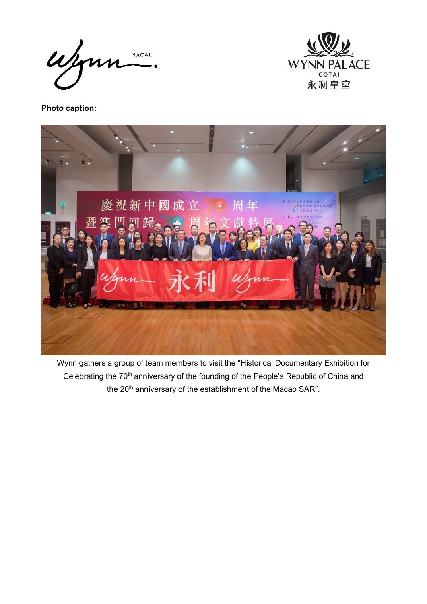Wynn MACAU



**Photo caption:**



Wynn gathers a group of team members to visit the "Historical Documentary Exhibition for Celebrating the 70<sup>th</sup> anniversary of the founding of the People's Republic of China and the 20<sup>th</sup> anniversary of the establishment of the Macao SAR".